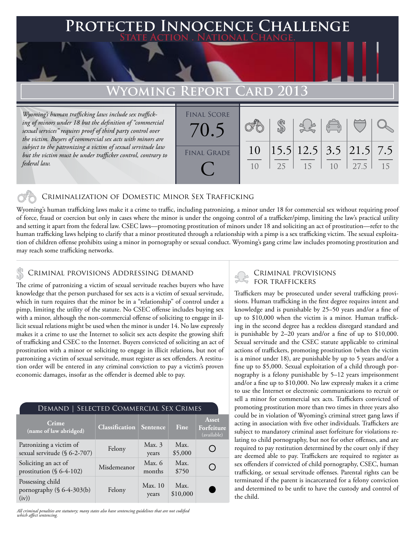## **FED INNOCENCE CHALLENGE State Action . National Change.**

# Wyoming Report

*Wyoming's human trafficking laws include sex trafficking of minors under 18 but the definition of "commercial sexual services" requires proof of third party control over the victim. Buyers of commercial sex acts with minors are subject to the patronizing a victim of sexual servitude law but the victim must be under trafficker control, contrary to federal law.* 

| <b>FINAL SCORE</b><br>70.5 |          |    |                                                                | $\sqrt{2}$ |      |    |
|----------------------------|----------|----|----------------------------------------------------------------|------------|------|----|
| <b>FINAL GRADE</b>         | 10<br>10 | 25 | $\left  15.5 \right  12.5$ 3.5 $\left  21.5 \right  7.5$<br>15 | 10         | 27.5 | 15 |

### Criminalization of Domestic Minor Sex Trafficking

Wyoming's human trafficking laws make it a crime to traffic, including patronizing, a minor under 18 for commercial sex without requiring proof of force, fraud or coercion but only in cases where the minor is under the ongoing control of a trafficker/pimp, limiting the law's practical utility and setting it apart from the federal law. CSEC laws—promoting prostitution of minors under 18 and soliciting an act of prostitution—refer to the human trafficking laws helping to clarify that a minor prostituted through a relationship with a pimp is a sex trafficking victim. The sexual exploitation of children offense prohibits using a minor in pornography or sexual conduct. Wyoming's gang crime law includes promoting prostitution and may reach some trafficking networks.

#### Criminal provisions Addressing demand

The crime of patronizing a victim of sexual servitude reaches buyers who have knowledge that the person purchased for sex acts is a victim of sexual servitude, which in turn requires that the minor be in a "relationship" of control under a pimp, limiting the utility of the statute. No CSEC offense includes buying sex with a minor, although the non-commercial offense of soliciting to engage in illicit sexual relations might be used when the minor is under 14. No law expressly makes it a crime to use the Internet to solicit sex acts despite the growing shift of trafficking and CSEC to the Internet. Buyers convicted of soliciting an act of prostitution with a minor or soliciting to engage in illicit relations, but not of patronizing a victim of sexual servitude, must register as sex offenders. A restitution order will be entered in any criminal conviction to pay a victim's proven economic damages, insofar as the offender is deemed able to pay.

| SELECTED COMMERCIAL SEX CRIMES<br>Demand  '                |                       |                    |                  |                                               |  |  |  |  |
|------------------------------------------------------------|-----------------------|--------------------|------------------|-----------------------------------------------|--|--|--|--|
| <b>Crime</b><br>(name of law abridged)                     | <b>Classification</b> | Sentence           | Fine             | Asset<br>Forfeiture<br>(available)            |  |  |  |  |
| Patronizing a victim of<br>sexual servitude (§ 6-2-707)    | Felony                | Max.3<br>years     | Max.<br>\$5,000  | ۰                                             |  |  |  |  |
| Soliciting an act of<br>prostitution $(\S 6-4-102)$        | Misdemeanor           | Max. $6$<br>months | Max.<br>\$750    | $\left(\begin{array}{c} 1 \end{array}\right)$ |  |  |  |  |
| Possessing child<br>pornography $(\S 6-4-303(b))$<br>(iv)) | Felony                | Max. 10<br>years   | Max.<br>\$10,000 |                                               |  |  |  |  |

*All criminal penalties are statutory; many states also have sentencing guidelines that are not codified which affect sentencing.* 

# Criminal provisions

Traffickers may be prosecuted under several trafficking provisions. Human trafficking in the first degree requires intent and knowledge and is punishable by 25–50 years and/or a fine of up to \$10,000 when the victim is a minor. Human trafficking in the second degree has a reckless disregard standard and is punishable by 2–20 years and/or a fine of up to \$10,000. Sexual servitude and the CSEC statute applicable to criminal actions of traffickers, promoting prostitution (when the victim is a minor under 18), are punishable by up to 5 years and/or a fine up to \$5,000. Sexual exploitation of a child through pornography is a felony punishable by 5–12 years imprisonment and/or a fine up to \$10,000. No law expressly makes it a crime to use the Internet or electronic communications to recruit or sell a minor for commercial sex acts. Traffickers convicted of promoting prostitution more than two times in three years also could be in violation of Wyoming's criminal street gang laws if acting in association with five other individuals. Traffickers are subject to mandatory criminal asset forfeiture for violations relating to child pornography, but not for other offenses, and are required to pay restitution determined by the court only if they are deemed able to pay. Traffickers are required to register as sex offenders if convicted of child pornography, CSEC, human trafficking, or sexual servitude offenses. Parental rights can be terminated if the parent is incarcerated for a felony conviction and determined to be unfit to have the custody and control of the child.